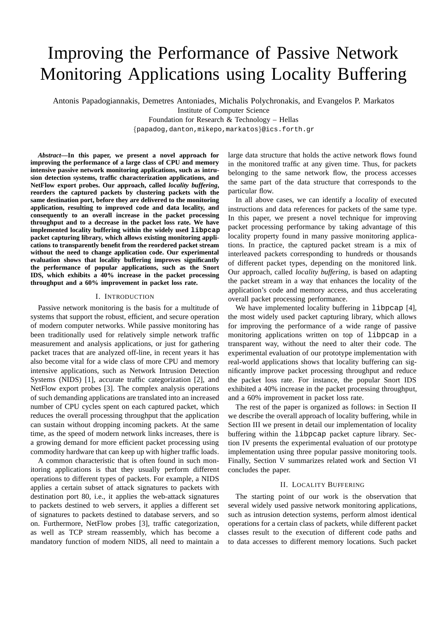# Improving the Performance of Passive Network Monitoring Applications using Locality Buffering

Antonis Papadogiannakis, Demetres Antoniades, Michalis Polychronakis, and Evangelos P. Markatos

Institute of Computer Science

Foundation for Research & Technology – Hellas

{papadog,danton,mikepo,markatos}@ics.forth.gr

*Abstract***—In this paper, we present a novel approach for improving the performance of a large class of CPU and memory intensive passive network monitoring applications, such as intrusion detection systems, traffic characterization applications, and NetFlow export probes. Our approach, called** *locality buffering***, reorders the captured packets by clustering packets with the same destination port, before they are delivered to the monitoring application, resulting to improved code and data locality, and consequently to an overall increase in the packet processing throughput and to a decrease in the packet loss rate. We have implemented locality buffering within the widely used libpcap packet capturing library, which allows existing monitoring applications to transparently benefit from the reordered packet stream without the need to change application code. Our experimental evaluation shows that locality buffering improves significantly the performance of popular applications, such as the Snort IDS, which exhibits a 40% increase in the packet processing throughput and a 60% improvement in packet loss rate.**

## I. INTRODUCTION

Passive network monitoring is the basis for a multitude of systems that support the robust, efficient, and secure operation of modern computer networks. While passive monitoring has been traditionally used for relatively simple network traffic measurement and analysis applications, or just for gathering packet traces that are analyzed off-line, in recent years it has also become vital for a wide class of more CPU and memory intensive applications, such as Network Intrusion Detection Systems (NIDS) [1], accurate traffic categorization [2], and NetFlow export probes [3]. The complex analysis operations of such demanding applications are translated into an increased number of CPU cycles spent on each captured packet, which reduces the overall processing throughput that the application can sustain without dropping incoming packets. At the same time, as the speed of modern network links increases, there is a growing demand for more efficient packet processing using commodity hardware that can keep up with higher traffic loads.

A common characteristic that is often found in such monitoring applications is that they usually perform different operations to different types of packets. For example, a NIDS applies a certain subset of attack signatures to packets with destination port 80, i.e., it applies the web-attack signatures to packets destined to web servers, it applies a different set of signatures to packets destined to database servers, and so on. Furthermore, NetFlow probes [3], traffic categorization, as well as TCP stream reassembly, which has become a mandatory function of modern NIDS, all need to maintain a

large data structure that holds the active network flows found in the monitored traffic at any given time. Thus, for packets belonging to the same network flow, the process accesses the same part of the data structure that corresponds to the particular flow.

In all above cases, we can identify a *locality* of executed instructions and data references for packets of the same type. In this paper, we present a novel technique for improving packet processing performance by taking advantage of this locality property found in many passive monitoring applications. In practice, the captured packet stream is a mix of interleaved packets corresponding to hundreds or thousands of different packet types, depending on the monitored link. Our approach, called *locality buffering*, is based on adapting the packet stream in a way that enhances the locality of the application's code and memory access, and thus accelerating overall packet processing performance.

We have implemented locality buffering in libpcap [4], the most widely used packet capturing library, which allows for improving the performance of a wide range of passive monitoring applications written on top of libpcap in a transparent way, without the need to alter their code. The experimental evaluation of our prototype implementation with real-world applications shows that locality buffering can significantly improve packet processing throughput and reduce the packet loss rate. For instance, the popular Snort IDS exhibited a 40% increase in the packet processing throughput, and a 60% improvement in packet loss rate.

The rest of the paper is organized as follows: in Section II we describe the overall approach of locality buffering, while in Section III we present in detail our implementation of locality buffering within the libpcap packet capture library. Section IV presents the experimental evaluation of our prototype implementation using three popular passive monitoring tools. Finally, Section V summarizes related work and Section VI concludes the paper.

## II. LOCALITY BUFFERING

The starting point of our work is the observation that several widely used passive network monitoring applications, such as intrusion detection systems, perform almost identical operations for a certain class of packets, while different packet classes result to the execution of different code paths and to data accesses to different memory locations. Such packet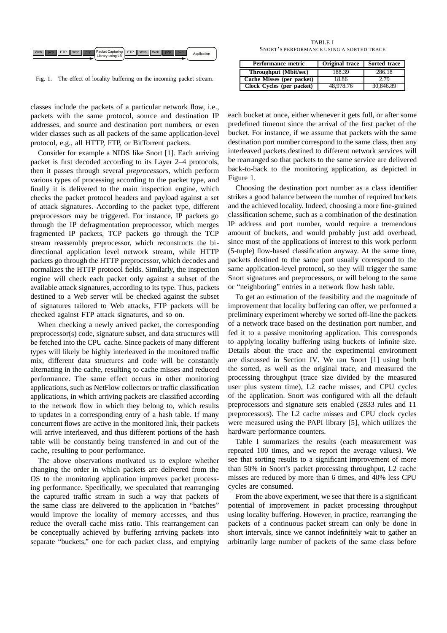

Fig. 1. The effect of locality buffering on the incoming packet stream.

classes include the packets of a particular network flow, i.e., packets with the same protocol, source and destination IP addresses, and source and destination port numbers, or even wider classes such as all packets of the same application-level protocol, e.g., all HTTP, FTP, or BitTorrent packets.

Consider for example a NIDS like Snort [1]. Each arriving packet is first decoded according to its Layer 2–4 protocols, then it passes through several *preprocessors*, which perform various types of processing according to the packet type, and finally it is delivered to the main inspection engine, which checks the packet protocol headers and payload against a set of attack signatures. According to the packet type, different preprocessors may be triggered. For instance, IP packets go through the IP defragmentation preprocessor, which merges fragmented IP packets, TCP packets go through the TCP stream reassembly preprocessor, which reconstructs the bidirectional application level network stream, while HTTP packets go through the HTTP preprocessor, which decodes and normalizes the HTTP protocol fields. Similarly, the inspection engine will check each packet only against a subset of the available attack signatures, according to its type. Thus, packets destined to a Web server will be checked against the subset of signatures tailored to Web attacks, FTP packets will be checked against FTP attack signatures, and so on.

When checking a newly arrived packet, the corresponding preprocessor(s) code, signature subset, and data structures will be fetched into the CPU cache. Since packets of many different types will likely be highly interleaved in the monitored traffic mix, different data structures and code will be constantly alternating in the cache, resulting to cache misses and reduced performance. The same effect occurs in other monitoring applications, such as NetFlow collectors or traffic classification applications, in which arriving packets are classified according to the network flow in which they belong to, which results to updates in a corresponding entry of a hash table. If many concurrent flows are active in the monitored link, their packets will arrive interleaved, and thus different portions of the hash table will be constantly being transferred in and out of the cache, resulting to poor performance.

The above observations motivated us to explore whether changing the order in which packets are delivered from the OS to the monitoring application improves packet processing performance. Specifically, we speculated that rearranging the captured traffic stream in such a way that packets of the same class are delivered to the application in "batches" would improve the locality of memory accesses, and thus reduce the overall cache miss ratio. This rearrangement can be conceptually achieved by buffering arriving packets into separate "buckets," one for each packet class, and emptying

TABLE I SNORT'S PERFORMANCE USING A SORTED TRACE

| Performance metric                            | Original trace | Sorted trace |
|-----------------------------------------------|----------------|--------------|
| Throughput (Mbit/sec)                         | 188.39         | 286.18       |
| Cache Misses (per packet)                     | 18.86          | 2.79         |
| $\overline{\text{Clock}}$ Cycles (per packet) | 48.978.76      | 30,846.89    |

each bucket at once, either whenever it gets full, or after some predefined timeout since the arrival of the first packet of the bucket. For instance, if we assume that packets with the same destination port number correspond to the same class, then any interleaved packets destined to different network services will be rearranged so that packets to the same service are delivered back-to-back to the monitoring application, as depicted in Figure 1.

Choosing the destination port number as a class identifier strikes a good balance between the number of required buckets and the achieved locality. Indeed, choosing a more fine-grained classification scheme, such as a combination of the destination IP address and port number, would require a tremendous amount of buckets, and would probably just add overhead, since most of the applications of interest to this work perform (5-tuple) flow-based classification anyway. At the same time, packets destined to the same port usually correspond to the same application-level protocol, so they will trigger the same Snort signatures and preprocessors, or will belong to the same or "neighboring" entries in a network flow hash table.

To get an estimation of the feasibility and the magnitude of improvement that locality buffering can offer, we performed a preliminary experiment whereby we sorted off-line the packets of a network trace based on the destination port number, and fed it to a passive monitoring application. This corresponds to applying locality buffering using buckets of infinite size. Details about the trace and the experimental environment are discussed in Section IV. We ran Snort [1] using both the sorted, as well as the original trace, and measured the processing throughput (trace size divided by the measured user plus system time), L2 cache misses, and CPU cycles of the application. Snort was configured with all the default preprocessors and signature sets enabled (2833 rules and 11 preprocessors). The L2 cache misses and CPU clock cycles were measured using the PAPI library [5], which utilizes the hardware performance counters.

Table I summarizes the results (each measurement was repeated 100 times, and we report the average values). We see that sorting results to a significant improvement of more than 50% in Snort's packet processing throughput, L2 cache misses are reduced by more than 6 times, and 40% less CPU cycles are consumed.

From the above experiment, we see that there is a significant potential of improvement in packet processing throughput using locality buffering. However, in practice, rearranging the packets of a continuous packet stream can only be done in short intervals, since we cannot indefinitely wait to gather an arbitrarily large number of packets of the same class before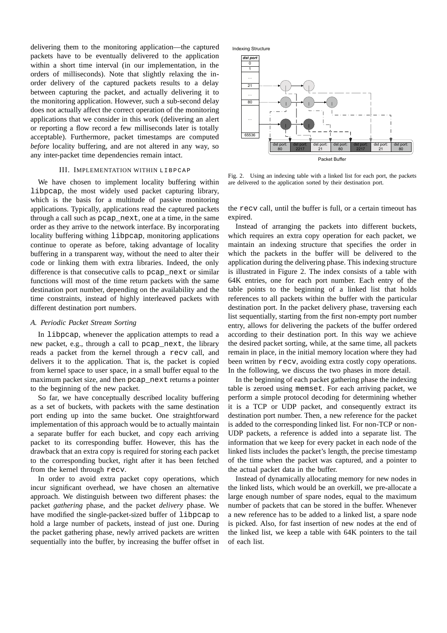delivering them to the monitoring application—the captured packets have to be eventually delivered to the application within a short time interval (in our implementation, in the orders of milliseconds). Note that slightly relaxing the inorder delivery of the captured packets results to a delay between capturing the packet, and actually delivering it to the monitoring application. However, such a sub-second delay does not actually affect the correct operation of the monitoring applications that we consider in this work (delivering an alert or reporting a flow record a few milliseconds later is totally acceptable). Furthermore, packet timestamps are computed *before* locality buffering, and are not altered in any way, so any inter-packet time dependencies remain intact.

### III. IMPLEMENTATION WITHIN LIBPCAP

We have chosen to implement locality buffering within libpcap, the most widely used packet capturing library, which is the basis for a multitude of passive monitoring applications. Typically, applications read the captured packets through a call such as pcap\_next, one at a time, in the same order as they arrive to the network interface. By incorporating locality buffering withing libpcap, monitoring applications continue to operate as before, taking advantage of locality buffering in a transparent way, without the need to alter their code or linking them with extra libraries. Indeed, the only difference is that consecutive calls to pcap\_next or similar functions will most of the time return packets with the same destination port number, depending on the availability and the time constraints, instead of highly interleaved packets with different destination port numbers.

## *A. Periodic Packet Stream Sorting*

In libpcap, whenever the application attempts to read a new packet, e.g., through a call to pcap\_next, the library reads a packet from the kernel through a recv call, and delivers it to the application. That is, the packet is copied from kernel space to user space, in a small buffer equal to the maximum packet size, and then pcap\_next returns a pointer to the beginning of the new packet.

So far, we have conceptually described locality buffering as a set of buckets, with packets with the same destination port ending up into the same bucket. One straightforward implementation of this approach would be to actually maintain a separate buffer for each bucket, and copy each arriving packet to its corresponding buffer. However, this has the drawback that an extra copy is required for storing each packet to the corresponding bucket, right after it has been fetched from the kernel through recv.

In order to avoid extra packet copy operations, which incur significant overhead, we have chosen an alternative approach. We distinguish between two different phases: the packet *gathering* phase, and the packet *delivery* phase. We have modified the single-packet-sized buffer of libpcap to hold a large number of packets, instead of just one. During the packet gathering phase, newly arrived packets are written sequentially into the buffer, by increasing the buffer offset in





Fig. 2. Using an indexing table with a linked list for each port, the packets are delivered to the application sorted by their destination port.

the recv call, until the buffer is full, or a certain timeout has expired.

Instead of arranging the packets into different buckets, which requires an extra copy operation for each packet, we maintain an indexing structure that specifies the order in which the packets in the buffer will be delivered to the application during the delivering phase. This indexing structure is illustrated in Figure 2. The index consists of a table with 64K entries, one for each port number. Each entry of the table points to the beginning of a linked list that holds references to all packets within the buffer with the particular destination port. In the packet delivery phase, traversing each list sequentially, starting from the first non-empty port number entry, allows for delivering the packets of the buffer ordered according to their destination port. In this way we achieve the desired packet sorting, while, at the same time, all packets remain in place, in the initial memory location where they had been written by recv, avoiding extra costly copy operations. In the following, we discuss the two phases in more detail.

In the beginning of each packet gathering phase the indexing table is zeroed using memset. For each arriving packet, we perform a simple protocol decoding for determining whether it is a TCP or UDP packet, and consequently extract its destination port number. Then, a new reference for the packet is added to the corresponding linked list. For non-TCP or non-UDP packets, a reference is added into a separate list. The information that we keep for every packet in each node of the linked lists includes the packet's length, the precise timestamp of the time when the packet was captured, and a pointer to the actual packet data in the buffer.

Instead of dynamically allocating memory for new nodes in the linked lists, which would be an overkill, we pre-allocate a large enough number of spare nodes, equal to the maximum number of packets that can be stored in the buffer. Whenever a new reference has to be added to a linked list, a spare node is picked. Also, for fast insertion of new nodes at the end of the linked list, we keep a table with 64K pointers to the tail of each list.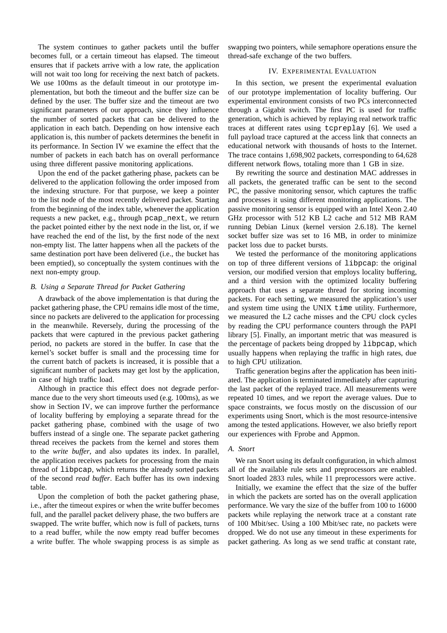The system continues to gather packets until the buffer becomes full, or a certain timeout has elapsed. The timeout ensures that if packets arrive with a low rate, the application will not wait too long for receiving the next batch of packets. We use 100ms as the default timeout in our prototype implementation, but both the timeout and the buffer size can be defined by the user. The buffer size and the timeout are two significant parameters of our approach, since they influence the number of sorted packets that can be delivered to the application in each batch. Depending on how intensive each application is, this number of packets determines the benefit in its performance. In Section IV we examine the effect that the number of packets in each batch has on overall performance using three different passive monitoring applications.

Upon the end of the packet gathering phase, packets can be delivered to the application following the order imposed from the indexing structure. For that purpose, we keep a pointer to the list node of the most recently delivered packet. Starting from the beginning of the index table, whenever the application requests a new packet, e.g., through pcap\_next, we return the packet pointed either by the next node in the list, or, if we have reached the end of the list, by the first node of the next non-empty list. The latter happens when all the packets of the same destination port have been delivered (i.e., the bucket has been emptied), so conceptually the system continues with the next non-empty group.

# *B. Using a Separate Thread for Packet Gathering*

A drawback of the above implementation is that during the packet gathering phase, the CPU remains idle most of the time, since no packets are delivered to the application for processing in the meanwhile. Reversely, during the processing of the packets that were captured in the previous packet gathering period, no packets are stored in the buffer. In case that the kernel's socket buffer is small and the processing time for the current batch of packets is increased, it is possible that a significant number of packets may get lost by the application, in case of high traffic load.

Although in practice this effect does not degrade performance due to the very short timeouts used (e.g. 100ms), as we show in Section IV, we can improve further the performance of locality buffering by employing a separate thread for the packet gathering phase, combined with the usage of two buffers instead of a single one. The separate packet gathering thread receives the packets from the kernel and stores them to the *write buffer*, and also updates its index. In parallel, the application receives packets for processing from the main thread of libpcap, which returns the already sorted packets of the second *read buffer*. Each buffer has its own indexing table.

Upon the completion of both the packet gathering phase, i.e., after the timeout expires or when the write buffer becomes full, and the parallel packet delivery phase, the two buffers are swapped. The write buffer, which now is full of packets, turns to a read buffer, while the now empty read buffer becomes a write buffer. The whole swapping process is as simple as

swapping two pointers, while semaphore operations ensure the thread-safe exchange of the two buffers.

# IV. EXPERIMENTAL EVALUATION

In this section, we present the experimental evaluation of our prototype implementation of locality buffering. Our experimental environment consists of two PCs interconnected through a Gigabit switch. The first PC is used for traffic generation, which is achieved by replaying real network traffic traces at different rates using tcpreplay [6]. We used a full payload trace captured at the access link that connects an educational network with thousands of hosts to the Internet. The trace contains 1,698,902 packets, corresponding to 64,628 different network flows, totaling more than 1 GB in size.

By rewriting the source and destination MAC addresses in all packets, the generated traffic can be sent to the second PC, the passive monitoring sensor, which captures the traffic and processes it using different monitoring applications. The passive monitoring sensor is equipped with an Intel Xeon 2.40 GHz processor with 512 KB L2 cache and 512 MB RAM running Debian Linux (kernel version 2.6.18). The kernel socket buffer size was set to 16 MB, in order to minimize packet loss due to packet bursts.

We tested the performance of the monitoring applications on top of three different versions of libpcap: the original version, our modified version that employs locality buffering, and a third version with the optimized locality buffering approach that uses a separate thread for storing incoming packets. For each setting, we measured the application's user and system time using the UNIX time utility. Furthermore, we measured the L2 cache misses and the CPU clock cycles by reading the CPU performance counters through the PAPI library [5]. Finally, an important metric that was measured is the percentage of packets being dropped by libpcap, which usually happens when replaying the traffic in high rates, due to high CPU utilization.

Traffic generation begins after the application has been initiated. The application is terminated immediately after capturing the last packet of the replayed trace. All measurements were repeated 10 times, and we report the average values. Due to space constraints, we focus mostly on the discussion of our experiments using Snort, which is the most resource-intensive among the tested applications. However, we also briefly report our experiences with Fprobe and Appmon.

# *A. Snort*

We ran Snort using its default configuration, in which almost all of the available rule sets and preprocessors are enabled. Snort loaded 2833 rules, while 11 preprocessors were active.

Initially, we examine the effect that the size of the buffer in which the packets are sorted has on the overall application performance. We vary the size of the buffer from 100 to 16000 packets while replaying the network trace at a constant rate of 100 Mbit/sec. Using a 100 Mbit/sec rate, no packets were dropped. We do not use any timeout in these experiments for packet gathering. As long as we send traffic at constant rate,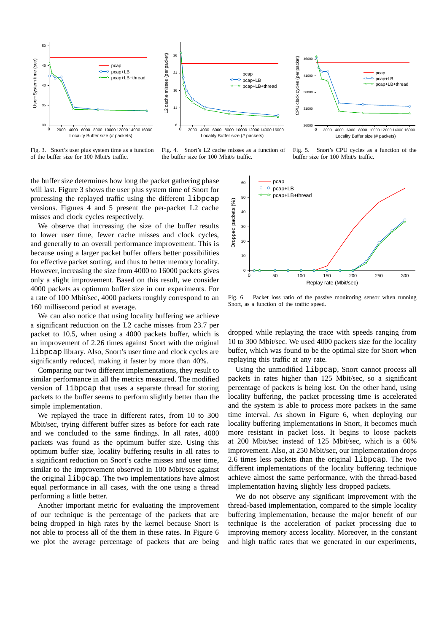

Fig. 3. Snort's user plus system time as a function of the buffer size for 100 Mbit/s traffic.

Fig. 4. Snort's L2 cache misses as a function of the buffer size for 100 Mbit/s traffic.



the buffer size determines how long the packet gathering phase will last. Figure 3 shows the user plus system time of Snort for processing the replayed traffic using the different libpcap versions. Figures 4 and 5 present the per-packet L2 cache misses and clock cycles respectively.

We observe that increasing the size of the buffer results to lower user time, fewer cache misses and clock cycles, and generally to an overall performance improvement. This is because using a larger packet buffer offers better possibilities for effective packet sorting, and thus to better memory locality. However, increasing the size from 4000 to 16000 packets gives only a slight improvement. Based on this result, we consider 4000 packets as optimum buffer size in our experiments. For a rate of 100 Mbit/sec, 4000 packets roughly correspond to an 160 millisecond period at average.

We can also notice that using locality buffering we achieve a significant reduction on the L2 cache misses from 23.7 per packet to 10.5, when using a 4000 packets buffer, which is an improvement of 2.26 times against Snort with the original libpcap library. Also, Snort's user time and clock cycles are significantly reduced, making it faster by more than 40%.

Comparing our two different implementations, they result to similar performance in all the metrics measured. The modified version of libpcap that uses a separate thread for storing packets to the buffer seems to perform slightly better than the simple implementation.

We replayed the trace in different rates, from 10 to 300 Mbit/sec, trying different buffer sizes as before for each rate and we concluded to the same findings. In all rates, 4000 packets was found as the optimum buffer size. Using this optimum buffer size, locality buffering results in all rates to a significant reduction on Snort's cache misses and user time, similar to the improvement observed in 100 Mbit/sec against the original libpcap. The two implementations have almost equal performance in all cases, with the one using a thread performing a little better.

Another important metric for evaluating the improvement of our technique is the percentage of the packets that are being dropped in high rates by the kernel because Snort is not able to process all of the them in these rates. In Figure 6 we plot the average percentage of packets that are being



Fig. 6. Packet loss ratio of the passive monitoring sensor when running Snort, as a function of the traffic speed.

dropped while replaying the trace with speeds ranging from 10 to 300 Mbit/sec. We used 4000 packets size for the locality buffer, which was found to be the optimal size for Snort when replaying this traffic at any rate.

Using the unmodified libpcap, Snort cannot process all packets in rates higher than 125 Mbit/sec, so a significant percentage of packets is being lost. On the other hand, using locality buffering, the packet processing time is accelerated and the system is able to process more packets in the same time interval. As shown in Figure 6, when deploying our locality buffering implementations in Snort, it becomes much more resistant in packet loss. It begins to loose packets at 200 Mbit/sec instead of 125 Mbit/sec, which is a 60% improvement. Also, at 250 Mbit/sec, our implementation drops 2.6 times less packets than the original libpcap. The two different implementations of the locality buffering technique achieve almost the same performance, with the thread-based implementation having slightly less dropped packets.

We do not observe any significant improvement with the thread-based implementation, compared to the simple locality buffering implementation, because the major benefit of our technique is the acceleration of packet processing due to improving memory access locality. Moreover, in the constant and high traffic rates that we generated in our experiments,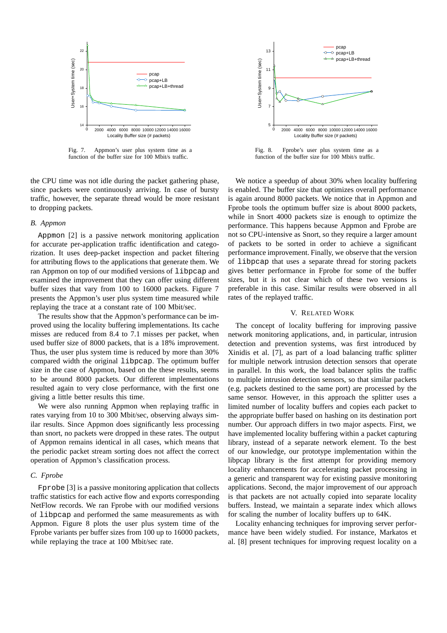

Fig. 7. Appmon's user plus system time as a function of the buffer size for 100 Mbit/s traffic.

the CPU time was not idle during the packet gathering phase, since packets were continuously arriving. In case of bursty traffic, however, the separate thread would be more resistant to dropping packets.

## *B. Appmon*

Appmon [2] is a passive network monitoring application for accurate per-application traffic identification and categorization. It uses deep-packet inspection and packet filtering for attributing flows to the applications that generate them. We ran Appmon on top of our modified versions of libpcap and examined the improvement that they can offer using different buffer sizes that vary from 100 to 16000 packets. Figure 7 presents the Appmon's user plus system time measured while replaying the trace at a constant rate of 100 Mbit/sec.

The results show that the Appmon's performance can be improved using the locality buffering implementations. Its cache misses are reduced from 8.4 to 7.1 misses per packet, when used buffer size of 8000 packets, that is a 18% improvement. Thus, the user plus system time is reduced by more than 30% compared width the original libpcap. The optimum buffer size in the case of Appmon, based on the these results, seems to be around 8000 packets. Our different implementations resulted again to very close performance, with the first one giving a little better results this time.

We were also running Appmon when replaying traffic in rates varying from 10 to 300 Mbit/sec, observing always similar results. Since Appmon does significantly less processing than snort, no packets were dropped in these rates. The output of Appmon remains identical in all cases, which means that the periodic packet stream sorting does not affect the correct operation of Appmon's classification process.

# *C. Fprobe*

Fprobe [3] is a passive monitoring application that collects traffic statistics for each active flow and exports corresponding NetFlow records. We ran Fprobe with our modified versions of libpcap and performed the same measurements as with Appmon. Figure 8 plots the user plus system time of the Fprobe variants per buffer sizes from 100 up to 16000 packets, while replaying the trace at 100 Mbit/sec rate.



Fig. 8. Fprobe's user plus system time as a function of the buffer size for 100 Mbit/s traffic.

We notice a speedup of about 30% when locality buffering is enabled. The buffer size that optimizes overall performance is again around 8000 packets. We notice that in Appmon and Fprobe tools the optimum buffer size is about 8000 packets, while in Snort 4000 packets size is enough to optimize the performance. This happens because Appmon and Fprobe are not so CPU-intensive as Snort, so they require a larger amount of packets to be sorted in order to achieve a significant performance improvement. Finally, we observe that the version of libpcap that uses a separate thread for storing packets gives better performance in Fprobe for some of the buffer sizes, but it is not clear which of these two versions is preferable in this case. Similar results were observed in all rates of the replayed traffic.

## V. RELATED WORK

The concept of locality buffering for improving passive network monitoring applications, and, in particular, intrusion detection and prevention systems, was first introduced by Xinidis et al. [7], as part of a load balancing traffic splitter for multiple network intrusion detection sensors that operate in parallel. In this work, the load balancer splits the traffic to multiple intrusion detection sensors, so that similar packets (e.g. packets destined to the same port) are processed by the same sensor. However, in this approach the splitter uses a limited number of locality buffers and copies each packet to the appropriate buffer based on hashing on its destination port number. Our approach differs in two major aspects. First, we have implemented locality buffering within a packet capturing library, instead of a separate network element. To the best of our knowledge, our prototype implementation within the libpcap library is the first attempt for providing memory locality enhancements for accelerating packet processing in a generic and transparent way for existing passive monitoring applications. Second, the major improvement of our approach is that packets are not actually copied into separate locality buffers. Instead, we maintain a separate index which allows for scaling the number of locality buffers up to 64K.

Locality enhancing techniques for improving server performance have been widely studied. For instance, Markatos et al. [8] present techniques for improving request locality on a